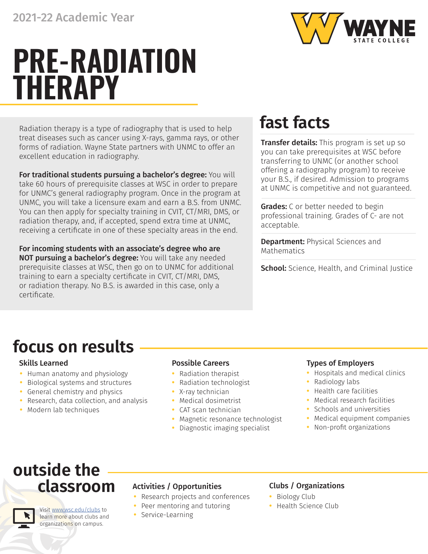

# **PRE-RADIATION THERAPY**

Radiation therapy is a type of radiography that is used to help treat diseases such as cancer using X-rays, gamma rays, or other forms of radiation. Wayne State partners with UNMC to offer an excellent education in radiography.

For traditional students pursuing a bachelor's degree: You will take 60 hours of prerequisite classes at WSC in order to prepare for UNMC's general radiography program. Once in the program at UNMC, you will take a licensure exam and earn a B.S. from UNMC. You can then apply for specialty training in CVIT, CT/MRI, DMS, or radiation therapy, and, if accepted, spend extra time at UNMC, receiving a certificate in one of these specialty areas in the end.

For incoming students with an associate's degree who are NOT pursuing a bachelor's degree: You will take any needed prerequisite classes at WSC, then go on to UNMC for additional training to earn a specialty certificate in CVIT, CT/MRI, DMS, or radiation therapy. No B.S. is awarded in this case, only a certificate.

## **fast facts**

**Transfer details:** This program is set up so you can take prerequisites at WSC before transferring to UNMC (or another school offering a radiography program) to receive your B.S., if desired. Admission to programs at UNMC is competitive and not guaranteed.

**Grades:** C or better needed to begin professional training. Grades of C- are not acceptable.

**Department: Physical Sciences and** Mathematics

School: Science, Health, and Criminal Justice

## **focus on results**

- **•** Human anatomy and physiology
- **•** Biological systems and structures
- **•** General chemistry and physics
- **•** Research, data collection, and analysis
- **•** Modern lab techniques

- **•** Radiation therapist
- **•** Radiation technologist
- **•** X-ray technician
- **•** Medical dosimetrist
- **•** CAT scan technician
- **•** Magnetic resonance technologist
- **•** Diagnostic imaging specialist

### Skills Learned Possible Careers Types of Employers

- **•** Hospitals and medical clinics
- **•** Radiology labs
- **•** Health care facilities
- **•** Medical research facilities
- **•** Schools and universities
- **•** Medical equipment companies
- **•** Non-profit organizations

## **outside the classroom**

Visit [www.wsc.edu/clubs](https://www.wsc.edu/clubs) to learn more about clubs and organizations on campus.

### Activities / Opportunities Clubs / Organizations

- **•** Research projects and conferences
- **•** Peer mentoring and tutoring
- **•** Service-Learning

- **•** Biology Club
- **•** Health Science Club